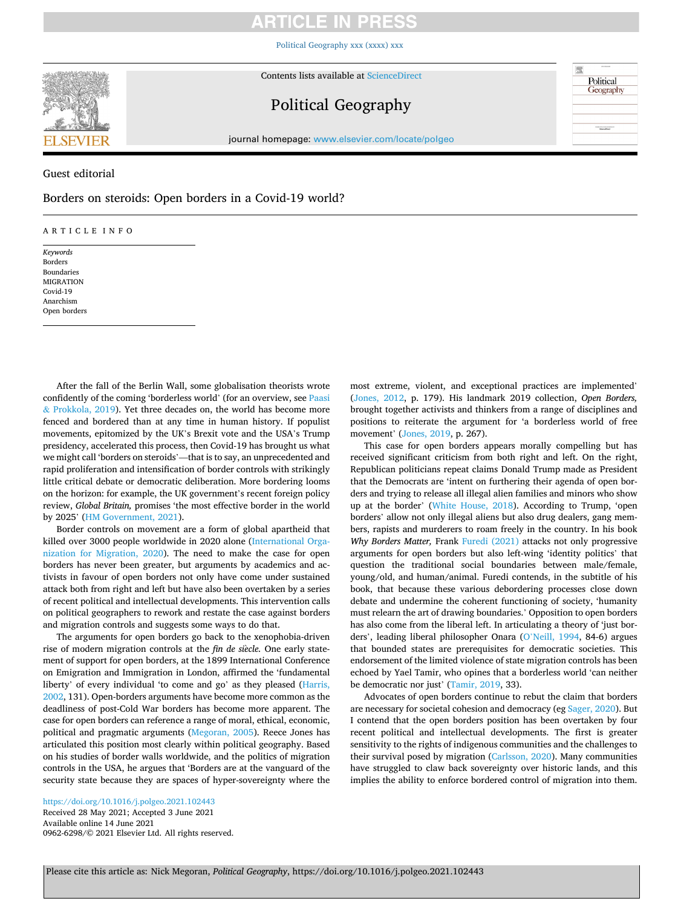# **ARTICLE IN PRES**

[Political Geography xxx \(xxxx\) xxx](https://doi.org/10.1016/j.polgeo.2021.102443)



Contents lists available at [ScienceDirect](www.sciencedirect.com/science/journal/09626298)

# Political Geography

Political Geography

**Simultan** 

journal homepage: [www.elsevier.com/locate/polgeo](https://www.elsevier.com/locate/polgeo)

Guest editorial

Borders on steroids: Open borders in a Covid-19 world?

### ARTICLE INFO

*Keywords*  Borders Boundaries MIGRATION Covid-19 Anarchism Open borders

After the fall of the Berlin Wall, some globalisation theorists wrote confidently of the coming 'borderless world' (for an overview, see [Paasi](#page-2-0)  & [Prokkola, 2019\)](#page-2-0). Yet three decades on, the world has become more fenced and bordered than at any time in human history. If populist movements, epitomized by the UK's Brexit vote and the USA's Trump presidency, accelerated this process, then Covid-19 has brought us what we might call 'borders on steroids'—that is to say, an unprecedented and rapid proliferation and intensification of border controls with strikingly little critical debate or democratic deliberation. More bordering looms on the horizon: for example, the UK government's recent foreign policy review, *Global Britain,* promises 'the most effective border in the world by 2025' ([HM Government, 2021](#page-2-0)).

Border controls on movement are a form of global apartheid that killed over 3000 people worldwide in 2020 alone [\(International Orga](#page-2-0)[nization for Migration, 2020\)](#page-2-0). The need to make the case for open borders has never been greater, but arguments by academics and activists in favour of open borders not only have come under sustained attack both from right and left but have also been overtaken by a series of recent political and intellectual developments. This intervention calls on political geographers to rework and restate the case against borders and migration controls and suggests some ways to do that.

The arguments for open borders go back to the xenophobia-driven rise of modern migration controls at the *fin de siècle*. One early statement of support for open borders, at the 1899 International Conference on Emigration and Immigration in London, affirmed the 'fundamental liberty' of every individual 'to come and go' as they pleased ([Harris,](#page-2-0)  [2002,](#page-2-0) 131). Open-borders arguments have become more common as the deadliness of post-Cold War borders has become more apparent. The case for open borders can reference a range of moral, ethical, economic, political and pragmatic arguments [\(Megoran, 2005\)](#page-2-0). Reece Jones has articulated this position most clearly within political geography. Based on his studies of border walls worldwide, and the politics of migration controls in the USA, he argues that 'Borders are at the vanguard of the security state because they are spaces of hyper-sovereignty where the

Available online 14 June 2021 0962-6298/© 2021 Elsevier Ltd. All rights reserved. <https://doi.org/10.1016/j.polgeo.2021.102443> Received 28 May 2021; Accepted 3 June 2021

most extreme, violent, and exceptional practices are implemented' ([Jones, 2012,](#page-2-0) p. 179). His landmark 2019 collection, *Open Borders,*  brought together activists and thinkers from a range of disciplines and positions to reiterate the argument for 'a borderless world of free movement' ([Jones, 2019](#page-2-0), p. 267).

This case for open borders appears morally compelling but has received significant criticism from both right and left. On the right, Republican politicians repeat claims Donald Trump made as President that the Democrats are 'intent on furthering their agenda of open borders and trying to release all illegal alien families and minors who show up at the border' [\(White House, 2018\)](#page-2-0). According to Trump, 'open borders' allow not only illegal aliens but also drug dealers, gang members, rapists and murderers to roam freely in the country. In his book *Why Borders Matter,* Frank [Furedi \(2021\)](#page-1-0) attacks not only progressive arguments for open borders but also left-wing 'identity politics' that question the traditional social boundaries between male/female, young/old, and human/animal. Furedi contends, in the subtitle of his book, that because these various debordering processes close down debate and undermine the coherent functioning of society, 'humanity must relearn the art of drawing boundaries.' Opposition to open borders has also come from the liberal left. In articulating a theory of 'just borders', leading liberal philosopher Onara (O'[Neill, 1994,](#page-2-0) 84-6) argues that bounded states are prerequisites for democratic societies. This endorsement of the limited violence of state migration controls has been echoed by Yael Tamir, who opines that a borderless world 'can neither be democratic nor just' [\(Tamir, 2019,](#page-2-0) 33).

Advocates of open borders continue to rebut the claim that borders are necessary for societal cohesion and democracy (eg [Sager, 2020](#page-2-0)). But I contend that the open borders position has been overtaken by four recent political and intellectual developments. The first is greater sensitivity to the rights of indigenous communities and the challenges to their survival posed by migration [\(Carlsson, 2020\)](#page-1-0). Many communities have struggled to claw back sovereignty over historic lands, and this implies the ability to enforce bordered control of migration into them.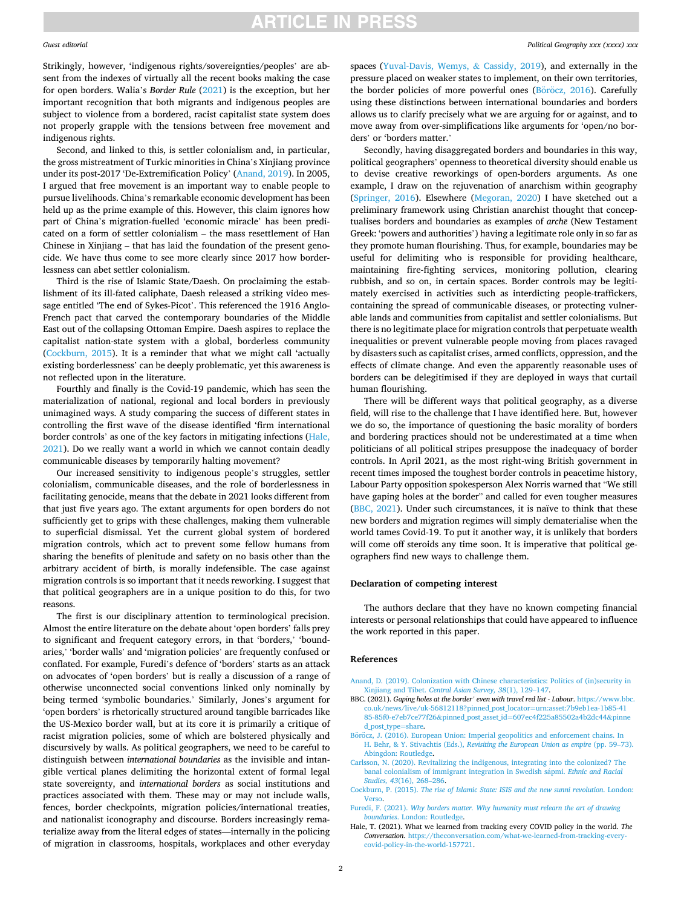# **ARTICLE IN PRESS**

#### <span id="page-1-0"></span>*Guest editorial*

Strikingly, however, 'indigenous rights/sovereignties/peoples' are absent from the indexes of virtually all the recent books making the case for open borders. Walia's *Border Rule* [\(2021](#page-2-0)) is the exception, but her important recognition that both migrants and indigenous peoples are subject to violence from a bordered, racist capitalist state system does not properly grapple with the tensions between free movement and indigenous rights.

Second, and linked to this, is settler colonialism and, in particular, the gross mistreatment of Turkic minorities in China's Xinjiang province under its post-2017 'De-Extremification Policy' (Anand, 2019). In 2005, I argued that free movement is an important way to enable people to pursue livelihoods. China's remarkable economic development has been held up as the prime example of this. However, this claim ignores how part of China's migration-fuelled 'economic miracle' has been predicated on a form of settler colonialism – the mass resettlement of Han Chinese in Xinjiang – that has laid the foundation of the present genocide. We have thus come to see more clearly since 2017 how borderlessness can abet settler colonialism.

Third is the rise of Islamic State/Daesh. On proclaiming the establishment of its ill-fated caliphate, Daesh released a striking video message entitled 'The end of Sykes-Picot'. This referenced the 1916 Anglo-French pact that carved the contemporary boundaries of the Middle East out of the collapsing Ottoman Empire. Daesh aspires to replace the capitalist nation-state system with a global, borderless community (Cockburn, 2015). It is a reminder that what we might call 'actually existing borderlessness' can be deeply problematic, yet this awareness is not reflected upon in the literature.

Fourthly and finally is the Covid-19 pandemic, which has seen the materialization of national, regional and local borders in previously unimagined ways. A study comparing the success of different states in controlling the first wave of the disease identified 'firm international border controls' as one of the key factors in mitigating infections (Hale, 2021). Do we really want a world in which we cannot contain deadly communicable diseases by temporarily halting movement?

Our increased sensitivity to indigenous people's struggles, settler colonialism, communicable diseases, and the role of borderlessness in facilitating genocide, means that the debate in 2021 looks different from that just five years ago. The extant arguments for open borders do not sufficiently get to grips with these challenges, making them vulnerable to superficial dismissal. Yet the current global system of bordered migration controls, which act to prevent some fellow humans from sharing the benefits of plenitude and safety on no basis other than the arbitrary accident of birth, is morally indefensible. The case against migration controls is so important that it needs reworking. I suggest that that political geographers are in a unique position to do this, for two reasons.

The first is our disciplinary attention to terminological precision. Almost the entire literature on the debate about 'open borders' falls prey to significant and frequent category errors, in that 'borders,' 'boundaries,' 'border walls' and 'migration policies' are frequently confused or conflated. For example, Furedi's defence of 'borders' starts as an attack on advocates of 'open borders' but is really a discussion of a range of otherwise unconnected social conventions linked only nominally by being termed 'symbolic boundaries.' Similarly, Jones's argument for 'open borders' is rhetorically structured around tangible barricades like the US-Mexico border wall, but at its core it is primarily a critique of racist migration policies, some of which are bolstered physically and discursively by walls. As political geographers, we need to be careful to distinguish between *international boundaries* as the invisible and intangible vertical planes delimiting the horizontal extent of formal legal state sovereignty, and *international borders* as social institutions and practices associated with them. These may or may not include walls, fences, border checkpoints, migration policies/international treaties, and nationalist iconography and discourse. Borders increasingly rematerialize away from the literal edges of states—internally in the policing of migration in classrooms, hospitals, workplaces and other everyday

spaces [\(Yuval-Davis, Wemys,](#page-2-0) & Cassidy, 2019), and externally in the pressure placed on weaker states to implement, on their own territories, the border policies of more powerful ones (Böröcz, 2016). Carefully using these distinctions between international boundaries and borders allows us to clarify precisely what we are arguing for or against, and to move away from over-simplifications like arguments for 'open/no borders' or 'borders matter.'

Secondly, having disaggregated borders and boundaries in this way, political geographers' openness to theoretical diversity should enable us to devise creative reworkings of open-borders arguments. As one example, I draw on the rejuvenation of anarchism within geography ([Springer, 2016](#page-2-0)). Elsewhere [\(Megoran, 2020](#page-2-0)) I have sketched out a preliminary framework using Christian anarchist thought that conceptualises borders and boundaries as examples of *arch* $\bar{e}$  (New Testament Greek: 'powers and authorities') having a legitimate role only in so far as they promote human flourishing. Thus, for example, boundaries may be useful for delimiting who is responsible for providing healthcare, maintaining fire-fighting services, monitoring pollution, clearing rubbish, and so on, in certain spaces. Border controls may be legitimately exercised in activities such as interdicting people-traffickers, containing the spread of communicable diseases, or protecting vulnerable lands and communities from capitalist and settler colonialisms. But there is no legitimate place for migration controls that perpetuate wealth inequalities or prevent vulnerable people moving from places ravaged by disasters such as capitalist crises, armed conflicts, oppression, and the effects of climate change. And even the apparently reasonable uses of borders can be delegitimised if they are deployed in ways that curtail human flourishing.

There will be different ways that political geography, as a diverse field, will rise to the challenge that I have identified here. But, however we do so, the importance of questioning the basic morality of borders and bordering practices should not be underestimated at a time when politicians of all political stripes presuppose the inadequacy of border controls. In April 2021, as the most right-wing British government in recent times imposed the toughest border controls in peacetime history, Labour Party opposition spokesperson Alex Norris warned that "We still have gaping holes at the border" and called for even tougher measures (BBC, 2021). Under such circumstances, it is naïve to think that these new borders and migration regimes will simply dematerialise when the world tames Covid-19. To put it another way, it is unlikely that borders will come off steroids any time soon. It is imperative that political geographers find new ways to challenge them.

### **Declaration of competing interest**

The authors declare that they have no known competing financial interests or personal relationships that could have appeared to influence the work reported in this paper.

#### **References**

- [Anand, D. \(2019\). Colonization with Chinese characteristics: Politics of \(in\)security in](http://refhub.elsevier.com/S0962-6298(21)00103-7/sref1) Xinjiang and Tibet. *[Central Asian Survey, 38](http://refhub.elsevier.com/S0962-6298(21)00103-7/sref1)*(1), 129–147.
- BBC. (2021). *Gaping holes at the border' even with travel red list Labour*. [https://www.bbc.](https://www.bbc.co.uk/news/live/uk-56812118?pinned_post_locator=urn:asset:7b9eb1ea-1b85-4185-85f0-e7eb7ce77f26&pinned_post_asset_id=607ec4f225a85502a4b2dc44&pinned_post_type=share)  [co.uk/news/live/uk-56812118?pinned\\_post\\_locator](https://www.bbc.co.uk/news/live/uk-56812118?pinned_post_locator=urn:asset:7b9eb1ea-1b85-4185-85f0-e7eb7ce77f26&pinned_post_asset_id=607ec4f225a85502a4b2dc44&pinned_post_type=share)=urn:asset:7b9eb1ea-1b85-41 85-85f0-e7eb7ce77f26&pinned\_post\_asset\_id=[607ec4f225a85502a4b2dc44](https://www.bbc.co.uk/news/live/uk-56812118?pinned_post_locator=urn:asset:7b9eb1ea-1b85-4185-85f0-e7eb7ce77f26&pinned_post_asset_id=607ec4f225a85502a4b2dc44&pinned_post_type=share)&pinne [d\\_post\\_type](https://www.bbc.co.uk/news/live/uk-56812118?pinned_post_locator=urn:asset:7b9eb1ea-1b85-4185-85f0-e7eb7ce77f26&pinned_post_asset_id=607ec4f225a85502a4b2dc44&pinned_post_type=share)=share.
- Böröcz, J. (2016). European Union: Imperial geopolitics and enforcement chains. In H. Behr, & Y. Stivachtis (Eds.), *[Revisiting the European Union as empire](http://refhub.elsevier.com/S0962-6298(21)00103-7/sref3)* (pp. 59–73). [Abingdon: Routledge](http://refhub.elsevier.com/S0962-6298(21)00103-7/sref3).
- [Carlsson, N. \(2020\). Revitalizing the indigenous, integrating into the colonized? The](http://refhub.elsevier.com/S0962-6298(21)00103-7/sref4)  [banal colonialism of immigrant integration in Swedish s](http://refhub.elsevier.com/S0962-6298(21)00103-7/sref4)ápmi. *Ethnic and Racial [Studies, 43](http://refhub.elsevier.com/S0962-6298(21)00103-7/sref4)*(16), 268–286.
- Cockburn, P. (2015). *[The rise of Islamic State: ISIS and the new sunni revolution](http://refhub.elsevier.com/S0962-6298(21)00103-7/sref5)*. London: [Verso](http://refhub.elsevier.com/S0962-6298(21)00103-7/sref5).
- Furedi, F. (2021). *[Why borders matter. Why humanity must relearn the art of drawing](http://refhub.elsevier.com/S0962-6298(21)00103-7/sref6)  boundaries*[. London: Routledge.](http://refhub.elsevier.com/S0962-6298(21)00103-7/sref6)
- Hale, T. (2021). What we learned from tracking every COVID policy in the world. *The Conversation*. [https://theconversation.com/what-we-learned-from-tracking-every](https://theconversation.com/what-we-learned-from-tracking-every-covid-policy-in-the-world-157721)[covid-policy-in-the-world-157721.](https://theconversation.com/what-we-learned-from-tracking-every-covid-policy-in-the-world-157721)